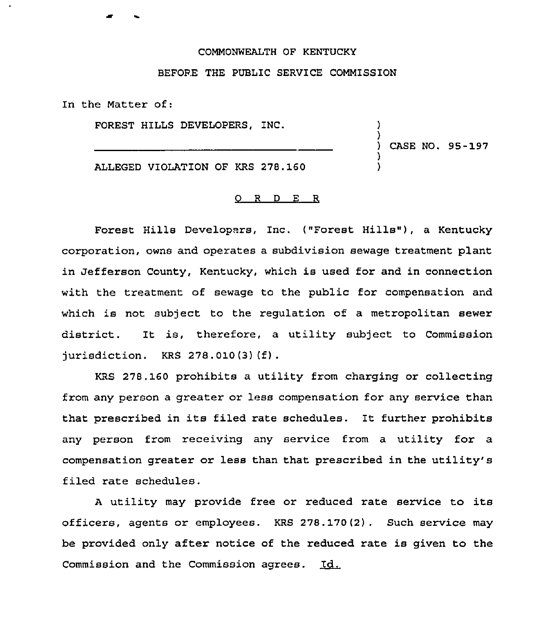## COMMONWEALTH OF KENTUCKY

## BEFORE THE PUBLIC SERVICE COMMISSION

In the Matter of:

FOREST HILLS DEVELOPERS, INC.

 $\mathcal{L}$ ) CASE NO. 98-197

)

) )

ALLEGED VIOLATION OF KRS 278.160

## 0 <sup>R</sup> <sup>D</sup> E R

Forest Hills Developers, Inc. ("Forest Hills"), a Kentucky corporation, owns and operates a subdivision sewage treatment plant in Jefferson County, Kentucky, which is used for and in connection with the treatment of sewage to the public for compensation and which is not subject to the regulation of a metropolitan sewer district. It is, therefore, <sup>a</sup> utility subject to Commission jurisdiction. KRS 278.010(3)(f).

KRS 278.160 prohibits a utility from charging or collecting from any person a greater or less compensation for any service than that prescribed in its filed rate schedules. It further prohibits any person from receiving any service from a utility for a compensation greater or less than that prescribed in the utility's filed rate schedules.

<sup>A</sup> utility may provide free or reduced rate service to its officers, agents or employees. KRS 278.170(2). Such service may be provided only after notice of the reduced rate is given to the Commission and the Commission agrees. Id.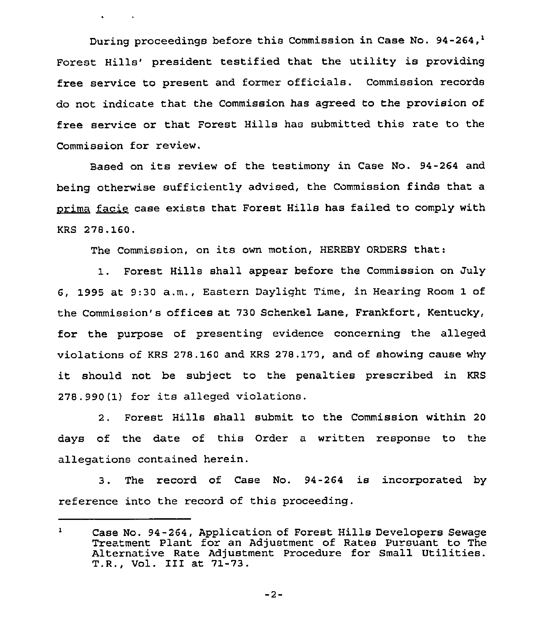During proceedings before this Commission in Case No. 94-264,<sup>1</sup> Forest Hills' president testified that the utility is providing free service to present and former officials. Commission records do not indicate that the Commission has agreed to the provision of free service or that Forest Hills has submitted this rate to the Commission for review.

Based on its review of the testimony in Case No. 94-264 and being otherwise sufficiently advised, the Commission finds that a <u>prima facie</u> case exists that Forest Hills has failed to comply with ased<br>other<br>facie<br>'<sup>0.160</sup> KRS 278.160.

The Commission, on its own motion, HEREBY ORDERS that:

1. Forest Hills shall appear before the Commission on July 6, 1995 at 9:30 a.m., Eastern Daylight Time, in Hearing Room 1 of the Commission's offices at 730 Schenkel Lane, Frankfort, Kentucky, for the purpose of presenting evidence concerning the alleged violations of KRS 278.160 and KRS 278.170, and of showing cause why it should not be subject to the penalties prescribed in KRS <sup>278</sup> . 990 (1) for its alleged violations.

2. Forest Hills shall submit to the Commission within 20 days of the date of this Order a written response to the allegations contained herein.

3. The record of Case No. 94-264 is incorporated by reference into the record of this proceeding.

 $-2-$ 

 $\mathbf{1}$ Case No. 94-264, Application of Forest Hills Developers Sewage Treatment Plant for an Adjustment of Rates Pursuant to The Alternative Rate Adjustment Procedure for Small Utilities. T.R., Vol. III at 71-73.